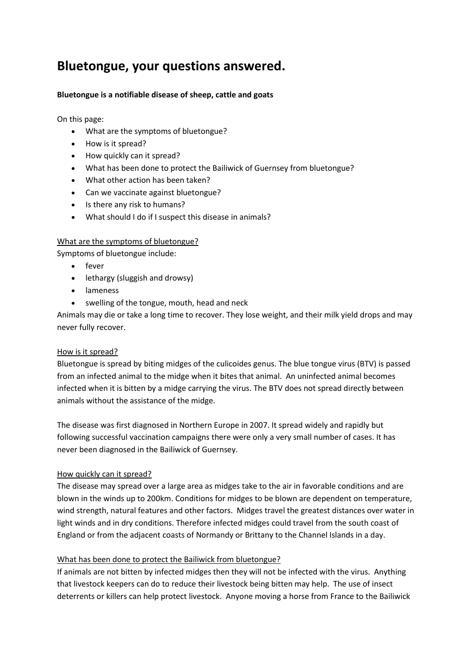# **Bluetongue, your questions answered.**

# **Bluetongue is a notifiable disease of sheep, cattle and goats**

On this page:

- What are the symptoms of bluetongue?
- How is it spread?
- How quickly can it spread?
- What has been done to protect the Bailiwick of Guernsey from bluetongue?
- What other action has been taken?
- Can we vaccinate against bluetongue?
- Is there any risk to humans?
- What should I do if I suspect this disease in animals?

## What are the symptoms of bluetongue?

Symptoms of bluetongue include:

- fever
- lethargy (sluggish and drowsy)
- lameness
- swelling of the tongue, mouth, head and neck

Animals may die or take a long time to recover. They lose weight, and their milk yield drops and may never fully recover.

#### How is it spread?

Bluetongue is spread by biting midges of the culicoides genus. The blue tongue virus (BTV) is passed from an infected animal to the midge when it bites that animal. An uninfected animal becomes infected when it is bitten by a midge carrying the virus. The BTV does not spread directly between animals without the assistance of the midge.

The disease was first diagnosed in Northern Europe in 2007. It spread widely and rapidly but following successful vaccination campaigns there were only a very small number of cases. It has never been diagnosed in the Bailiwick of Guernsey.

#### How quickly can it spread?

The disease may spread over a large area as midges take to the air in favorable conditions and are blown in the winds up to 200km. Conditions for midges to be blown are dependent on temperature, wind strength, natural features and other factors. Midges travel the greatest distances over water in light winds and in dry conditions. Therefore infected midges could travel from the south coast of England or from the adjacent coasts of Normandy or Brittany to the Channel Islands in a day.

# What has been done to protect the Bailiwick from bluetongue?

If animals are not bitten by infected midges then they will not be infected with the virus. Anything that livestock keepers can do to reduce their livestock being bitten may help. The use of insect deterrents or killers can help protect livestock. Anyone moving a horse from France to the Bailiwick